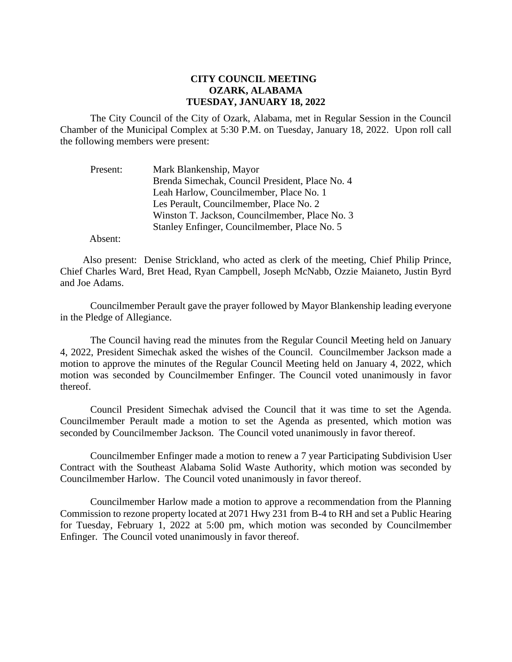## **CITY COUNCIL MEETING OZARK, ALABAMA TUESDAY, JANUARY 18, 2022**

The City Council of the City of Ozark, Alabama, met in Regular Session in the Council Chamber of the Municipal Complex at 5:30 P.M. on Tuesday, January 18, 2022. Upon roll call the following members were present:

| Present: | Mark Blankenship, Mayor                         |
|----------|-------------------------------------------------|
|          | Brenda Simechak, Council President, Place No. 4 |
|          | Leah Harlow, Councilmember, Place No. 1         |
|          | Les Perault, Councilmember, Place No. 2         |
|          | Winston T. Jackson, Councilmember, Place No. 3  |
|          | Stanley Enfinger, Councilmember, Place No. 5    |

Absent:

Also present: Denise Strickland, who acted as clerk of the meeting, Chief Philip Prince, Chief Charles Ward, Bret Head, Ryan Campbell, Joseph McNabb, Ozzie Maianeto, Justin Byrd and Joe Adams.

Councilmember Perault gave the prayer followed by Mayor Blankenship leading everyone in the Pledge of Allegiance.

The Council having read the minutes from the Regular Council Meeting held on January 4, 2022, President Simechak asked the wishes of the Council. Councilmember Jackson made a motion to approve the minutes of the Regular Council Meeting held on January 4, 2022, which motion was seconded by Councilmember Enfinger. The Council voted unanimously in favor thereof.

Council President Simechak advised the Council that it was time to set the Agenda. Councilmember Perault made a motion to set the Agenda as presented, which motion was seconded by Councilmember Jackson. The Council voted unanimously in favor thereof.

Councilmember Enfinger made a motion to renew a 7 year Participating Subdivision User Contract with the Southeast Alabama Solid Waste Authority, which motion was seconded by Councilmember Harlow. The Council voted unanimously in favor thereof.

Councilmember Harlow made a motion to approve a recommendation from the Planning Commission to rezone property located at 2071 Hwy 231 from B-4 to RH and set a Public Hearing for Tuesday, February 1, 2022 at 5:00 pm, which motion was seconded by Councilmember Enfinger. The Council voted unanimously in favor thereof.